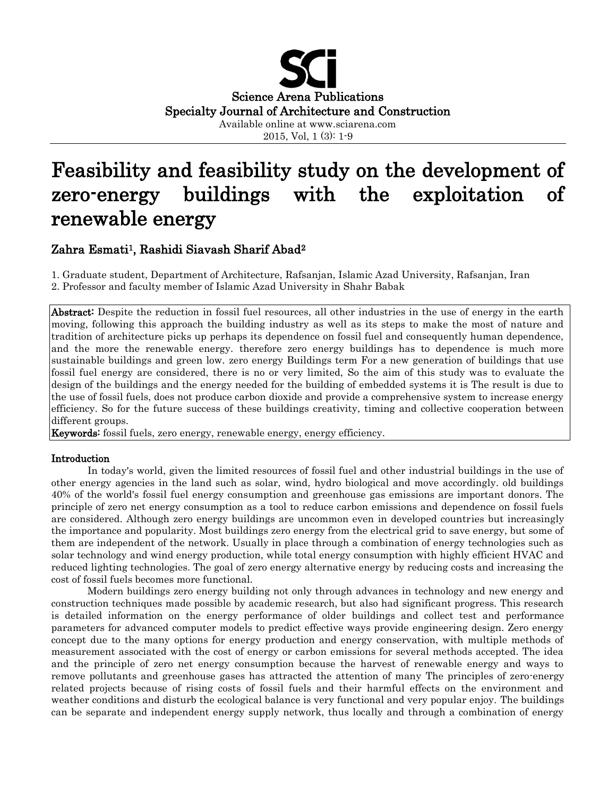

2015, Vol, 1 (3): 1-9

# Feasibility and feasibility study on the development of zero-energy buildings with the exploitation of renewable energy

## Zahra Esmati<sup>1</sup>, Rashidi Siavash Sharif Abad<sup>2</sup>

1. Graduate student, Department of Architecture, Rafsanjan, Islamic Azad University, Rafsanjan, Iran

2. Professor and faculty member of Islamic Azad University in Shahr Babak

Abstract: Despite the reduction in fossil fuel resources, all other industries in the use of energy in the earth moving, following this approach the building industry as well as its steps to make the most of nature and tradition of architecture picks up perhaps its dependence on fossil fuel and consequently human dependence, and the more the renewable energy. therefore zero energy buildings has to dependence is much more sustainable buildings and green low. zero energy Buildings term For a new generation of buildings that use fossil fuel energy are considered, there is no or very limited, So the aim of this study was to evaluate the design of the buildings and the energy needed for the building of embedded systems it is The result is due to the use of fossil fuels, does not produce carbon dioxide and provide a comprehensive system to increase energy efficiency. So for the future success of these buildings creativity, timing and collective cooperation between different groups.

Keywords: fossil fuels, zero energy, renewable energy, energy efficiency.

## Introduction

In today's world, given the limited resources of fossil fuel and other industrial buildings in the use of other energy agencies in the land such as solar, wind, hydro biological and move accordingly. old buildings 40% of the world's fossil fuel energy consumption and greenhouse gas emissions are important donors. The principle of zero net energy consumption as a tool to reduce carbon emissions and dependence on fossil fuels are considered. Although zero energy buildings are uncommon even in developed countries but increasingly the importance and popularity. Most buildings zero energy from the electrical grid to save energy, but some of them are independent of the network. Usually in place through a combination of energy technologies such as solar technology and wind energy production, while total energy consumption with highly efficient HVAC and reduced lighting technologies. The goal of zero energy alternative energy by reducing costs and increasing the cost of fossil fuels becomes more functional.

Modern buildings zero energy building not only through advances in technology and new energy and construction techniques made possible by academic research, but also had significant progress. This research is detailed information on the energy performance of older buildings and collect test and performance parameters for advanced computer models to predict effective ways provide engineering design. Zero energy concept due to the many options for energy production and energy conservation, with multiple methods of measurement associated with the cost of energy or carbon emissions for several methods accepted. The idea and the principle of zero net energy consumption because the harvest of renewable energy and ways to remove pollutants and greenhouse gases has attracted the attention of many The principles of zero-energy related projects because of rising costs of fossil fuels and their harmful effects on the environment and weather conditions and disturb the ecological balance is very functional and very popular enjoy. The buildings can be separate and independent energy supply network, thus locally and through a combination of energy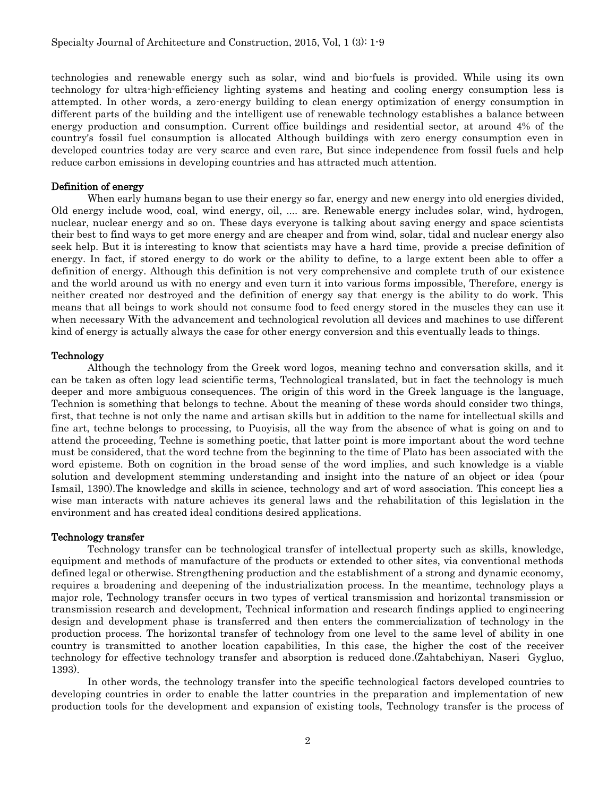technologies and renewable energy such as solar, wind and bio-fuels is provided. While using its own technology for ultra-high-efficiency lighting systems and heating and cooling energy consumption less is attempted. In other words, a zero-energy building to clean energy optimization of energy consumption in different parts of the building and the intelligent use of renewable technology establishes a balance between energy production and consumption. Current office buildings and residential sector, at around 4% of the country's fossil fuel consumption is allocated Although buildings with zero energy consumption even in developed countries today are very scarce and even rare, But since independence from fossil fuels and help reduce carbon emissions in developing countries and has attracted much attention.

## Definition of energy

When early humans began to use their energy so far, energy and new energy into old energies divided, Old energy include wood, coal, wind energy, oil, .... are. Renewable energy includes solar, wind, hydrogen, nuclear, nuclear energy and so on. These days everyone is talking about saving energy and space scientists their best to find ways to get more energy and are cheaper and from wind, solar, tidal and nuclear energy also seek help. But it is interesting to know that scientists may have a hard time, provide a precise definition of energy. In fact, if stored energy to do work or the ability to define, to a large extent been able to offer a definition of energy. Although this definition is not very comprehensive and complete truth of our existence and the world around us with no energy and even turn it into various forms impossible, Therefore, energy is neither created nor destroyed and the definition of energy say that energy is the ability to do work. This means that all beings to work should not consume food to feed energy stored in the muscles they can use it when necessary With the advancement and technological revolution all devices and machines to use different kind of energy is actually always the case for other energy conversion and this eventually leads to things.

#### Technology

Although the technology from the Greek word logos, meaning techno and conversation skills, and it can be taken as often logy lead scientific terms, Technological translated, but in fact the technology is much deeper and more ambiguous consequences. The origin of this word in the Greek language is the language, Technion is something that belongs to techne. About the meaning of these words should consider two things, first, that techne is not only the name and artisan skills but in addition to the name for intellectual skills and fine art, techne belongs to processing, to Puoyisis, all the way from the absence of what is going on and to attend the proceeding, Techne is something poetic, that latter point is more important about the word techne must be considered, that the word techne from the beginning to the time of Plato has been associated with the word episteme. Both on cognition in the broad sense of the word implies, and such knowledge is a viable solution and development stemming understanding and insight into the nature of an object or idea (pour Ismail, 1390).The knowledge and skills in science, technology and art of word association. This concept lies a wise man interacts with nature achieves its general laws and the rehabilitation of this legislation in the environment and has created ideal conditions desired applications.

## Technology transfer

Technology transfer can be technological transfer of intellectual property such as skills, knowledge, equipment and methods of manufacture of the products or extended to other sites, via conventional methods defined legal or otherwise. Strengthening production and the establishment of a strong and dynamic economy, requires a broadening and deepening of the industrialization process. In the meantime, technology plays a major role, Technology transfer occurs in two types of vertical transmission and horizontal transmission or transmission research and development, Technical information and research findings applied to engineering design and development phase is transferred and then enters the commercialization of technology in the production process. The horizontal transfer of technology from one level to the same level of ability in one country is transmitted to another location capabilities, In this case, the higher the cost of the receiver technology for effective technology transfer and absorption is reduced done.(Zahtabchiyan, Naseri Gygluo, 1393).

In other words, the technology transfer into the specific technological factors developed countries to developing countries in order to enable the latter countries in the preparation and implementation of new production tools for the development and expansion of existing tools, Technology transfer is the process of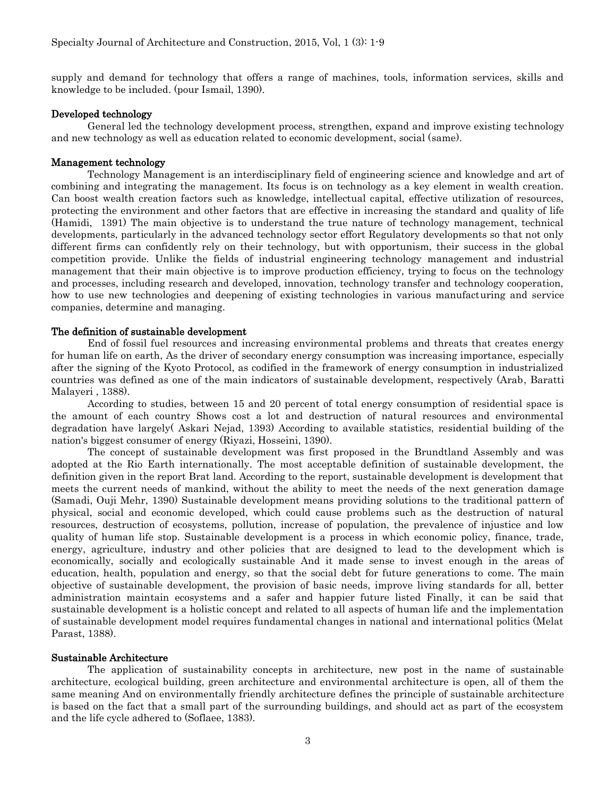supply and demand for technology that offers a range of machines, tools, information services, skills and knowledge to be included. (pour Ismail, 1390).

#### Developed technology

General led the technology development process, strengthen, expand and improve existing technology and new technology as well as education related to economic development, social (same).

## Management technology

Technology Management is an interdisciplinary field of engineering science and knowledge and art of combining and integrating the management. Its focus is on technology as a key element in wealth creation. Can boost wealth creation factors such as knowledge, intellectual capital, effective utilization of resources, protecting the environment and other factors that are effective in increasing the standard and quality of life (Hamidi, 1391) The main objective is to understand the true nature of technology management, technical developments, particularly in the advanced technology sector effort Regulatory developments so that not only different firms can confidently rely on their technology, but with opportunism, their success in the global competition provide. Unlike the fields of industrial engineering technology management and industrial management that their main objective is to improve production efficiency, trying to focus on the technology and processes, including research and developed, innovation, technology transfer and technology cooperation, how to use new technologies and deepening of existing technologies in various manufacturing and service companies, determine and managing.

## The definition of sustainable development

End of fossil fuel resources and increasing environmental problems and threats that creates energy for human life on earth, As the driver of secondary energy consumption was increasing importance, especially after the signing of the Kyoto Protocol, as codified in the framework of energy consumption in industrialized countries was defined as one of the main indicators of sustainable development, respectively (Arab, Baratti Malayeri , 1388).

According to studies, between 15 and 20 percent of total energy consumption of residential space is the amount of each country Shows cost a lot and destruction of natural resources and environmental degradation have largely( Askari Nejad, 1393) According to available statistics, residential building of the nation's biggest consumer of energy (Riyazi, Hosseini, 1390).

The concept of sustainable development was first proposed in the Brundtland Assembly and was adopted at the Rio Earth internationally. The most acceptable definition of sustainable development, the definition given in the report Brat land. According to the report, sustainable development is development that meets the current needs of mankind, without the ability to meet the needs of the next generation damage (Samadi, Ouji Mehr, 1390) Sustainable development means providing solutions to the traditional pattern of physical, social and economic developed, which could cause problems such as the destruction of natural resources, destruction of ecosystems, pollution, increase of population, the prevalence of injustice and low quality of human life stop. Sustainable development is a process in which economic policy, finance, trade, energy, agriculture, industry and other policies that are designed to lead to the development which is economically, socially and ecologically sustainable And it made sense to invest enough in the areas of education, health, population and energy, so that the social debt for future generations to come. The main objective of sustainable development, the provision of basic needs, improve living standards for all, better administration maintain ecosystems and a safer and happier future listed Finally, it can be said that sustainable development is a holistic concept and related to all aspects of human life and the implementation of sustainable development model requires fundamental changes in national and international politics (Melat Parast, 1388).

#### Sustainable Architecture

The application of sustainability concepts in architecture, new post in the name of sustainable architecture, ecological building, green architecture and environmental architecture is open, all of them the same meaning And on environmentally friendly architecture defines the principle of sustainable architecture is based on the fact that a small part of the surrounding buildings, and should act as part of the ecosystem and the life cycle adhered to (Soflaee, 1383).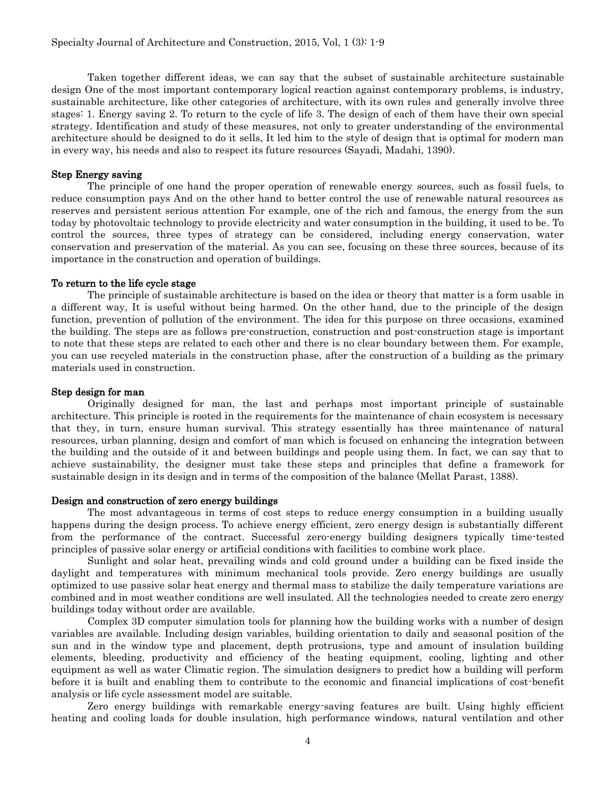Taken together different ideas, we can say that the subset of sustainable architecture sustainable design One of the most important contemporary logical reaction against contemporary problems, is industry, sustainable architecture, like other categories of architecture, with its own rules and generally involve three stages: 1. Energy saving 2. To return to the cycle of life 3. The design of each of them have their own special strategy. Identification and study of these measures, not only to greater understanding of the environmental architecture should be designed to do it sells, It led him to the style of design that is optimal for modern man in every way, his needs and also to respect its future resources (Sayadi, Madahi, 1390).

#### Step Energy saving

The principle of one hand the proper operation of renewable energy sources, such as fossil fuels, to reduce consumption pays And on the other hand to better control the use of renewable natural resources as reserves and persistent serious attention For example, one of the rich and famous, the energy from the sun today by photovoltaic technology to provide electricity and water consumption in the building, it used to be. To control the sources, three types of strategy can be considered, including energy conservation, water conservation and preservation of the material. As you can see, focusing on these three sources, because of its importance in the construction and operation of buildings.

#### To return to the life cycle stage

The principle of sustainable architecture is based on the idea or theory that matter is a form usable in a different way, It is useful without being harmed. On the other hand, due to the principle of the design function, prevention of pollution of the environment. The idea for this purpose on three occasions, examined the building. The steps are as follows pre-construction, construction and post-construction stage is important to note that these steps are related to each other and there is no clear boundary between them. For example, you can use recycled materials in the construction phase, after the construction of a building as the primary materials used in construction.

## Step design for man

Originally designed for man, the last and perhaps most important principle of sustainable architecture. This principle is rooted in the requirements for the maintenance of chain ecosystem is necessary that they, in turn, ensure human survival. This strategy essentially has three maintenance of natural resources, urban planning, design and comfort of man which is focused on enhancing the integration between the building and the outside of it and between buildings and people using them. In fact, we can say that to achieve sustainability, the designer must take these steps and principles that define a framework for sustainable design in its design and in terms of the composition of the balance (Mellat Parast, 1388).

#### Design and construction of zero energy buildings

The most advantageous in terms of cost steps to reduce energy consumption in a building usually happens during the design process. To achieve energy efficient, zero energy design is substantially different from the performance of the contract. Successful zero-energy building designers typically time-tested principles of passive solar energy or artificial conditions with facilities to combine work place.

Sunlight and solar heat, prevailing winds and cold ground under a building can be fixed inside the daylight and temperatures with minimum mechanical tools provide. Zero energy buildings are usually optimized to use passive solar heat energy and thermal mass to stabilize the daily temperature variations are combined and in most weather conditions are well insulated. All the technologies needed to create zero energy buildings today without order are available.

Complex 3D computer simulation tools for planning how the building works with a number of design variables are available. Including design variables, building orientation to daily and seasonal position of the sun and in the window type and placement, depth protrusions, type and amount of insulation building elements, bleeding, productivity and efficiency of the heating equipment, cooling, lighting and other equipment as well as water Climatic region. The simulation designers to predict how a building will perform before it is built and enabling them to contribute to the economic and financial implications of cost-benefit analysis or life cycle assessment model are suitable.

Zero energy buildings with remarkable energy-saving features are built. Using highly efficient heating and cooling loads for double insulation, high performance windows, natural ventilation and other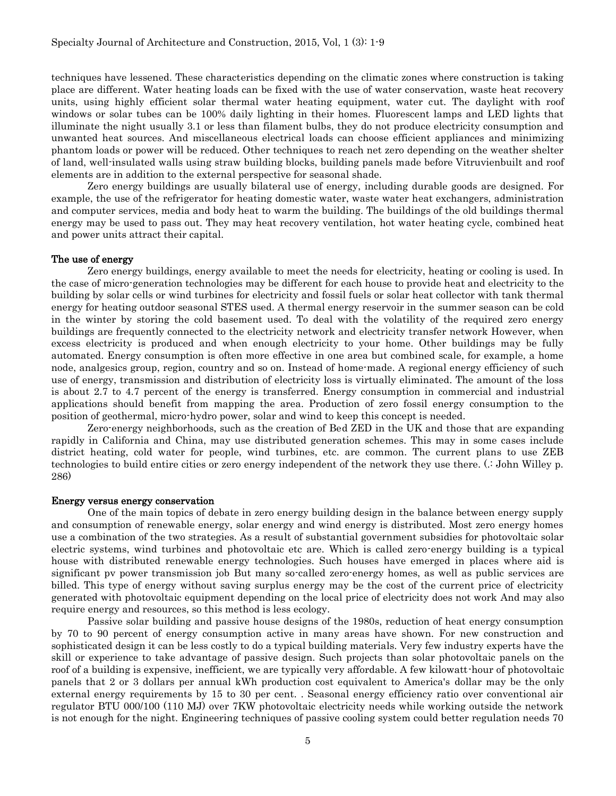techniques have lessened. These characteristics depending on the climatic zones where construction is taking place are different. Water heating loads can be fixed with the use of water conservation, waste heat recovery units, using highly efficient solar thermal water heating equipment, water cut. The daylight with roof windows or solar tubes can be 100% daily lighting in their homes. Fluorescent lamps and LED lights that illuminate the night usually 3.1 or less than filament bulbs, they do not produce electricity consumption and unwanted heat sources. And miscellaneous electrical loads can choose efficient appliances and minimizing phantom loads or power will be reduced. Other techniques to reach net zero depending on the weather shelter of land, well-insulated walls using straw building blocks, building panels made before Vitruvienbuilt and roof elements are in addition to the external perspective for seasonal shade.

Zero energy buildings are usually bilateral use of energy, including durable goods are designed. For example, the use of the refrigerator for heating domestic water, waste water heat exchangers, administration and computer services, media and body heat to warm the building. The buildings of the old buildings thermal energy may be used to pass out. They may heat recovery ventilation, hot water heating cycle, combined heat and power units attract their capital.

## The use of energy

Zero energy buildings, energy available to meet the needs for electricity, heating or cooling is used. In the case of micro-generation technologies may be different for each house to provide heat and electricity to the building by solar cells or wind turbines for electricity and fossil fuels or solar heat collector with tank thermal energy for heating outdoor seasonal STES used. A thermal energy reservoir in the summer season can be cold in the winter by storing the cold basement used. To deal with the volatility of the required zero energy buildings are frequently connected to the electricity network and electricity transfer network However, when excess electricity is produced and when enough electricity to your home. Other buildings may be fully automated. Energy consumption is often more effective in one area but combined scale, for example, a home node, analgesics group, region, country and so on. Instead of home-made. A regional energy efficiency of such use of energy, transmission and distribution of electricity loss is virtually eliminated. The amount of the loss is about 2.7 to 4.7 percent of the energy is transferred. Energy consumption in commercial and industrial applications should benefit from mapping the area. Production of zero fossil energy consumption to the position of geothermal, micro-hydro power, solar and wind to keep this concept is needed.

Zero-energy neighborhoods, such as the creation of Bed ZED in the UK and those that are expanding rapidly in California and China, may use distributed generation schemes. This may in some cases include district heating, cold water for people, wind turbines, etc. are common. The current plans to use ZEB technologies to build entire cities or zero energy independent of the network they use there. (.: John Willey p. 286)

#### Energy versus energy conservation

One of the main topics of debate in zero energy building design in the balance between energy supply and consumption of renewable energy, solar energy and wind energy is distributed. Most zero energy homes use a combination of the two strategies. As a result of substantial government subsidies for photovoltaic solar electric systems, wind turbines and photovoltaic etc are. Which is called zero-energy building is a typical house with distributed renewable energy technologies. Such houses have emerged in places where aid is significant pv power transmission job But many so-called zero-energy homes, as well as public services are billed. This type of energy without saving surplus energy may be the cost of the current price of electricity generated with photovoltaic equipment depending on the local price of electricity does not work And may also require energy and resources, so this method is less ecology.

Passive solar building and passive house designs of the 1980s, reduction of heat energy consumption by 70 to 90 percent of energy consumption active in many areas have shown. For new construction and sophisticated design it can be less costly to do a typical building materials. Very few industry experts have the skill or experience to take advantage of passive design. Such projects than solar photovoltaic panels on the roof of a building is expensive, inefficient, we are typically very affordable. A few kilowatt-hour of photovoltaic panels that 2 or 3 dollars per annual kWh production cost equivalent to America's dollar may be the only external energy requirements by 15 to 30 per cent. . Seasonal energy efficiency ratio over conventional air regulator BTU 000/100 (110 MJ) over 7KW photovoltaic electricity needs while working outside the network is not enough for the night. Engineering techniques of passive cooling system could better regulation needs 70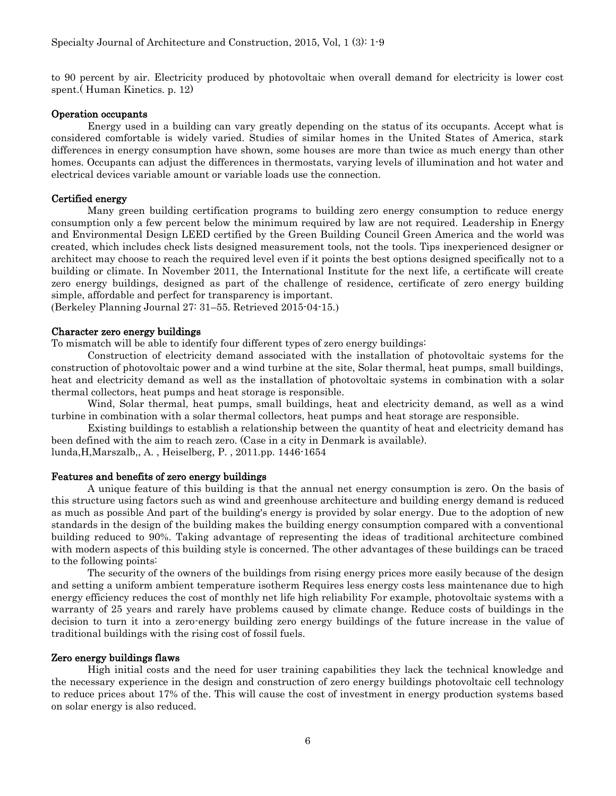to 90 percent by air. Electricity produced by photovoltaic when overall demand for electricity is lower cost spent.( Human Kinetics. p. 12)

#### Operation occupants

Energy used in a building can vary greatly depending on the status of its occupants. Accept what is considered comfortable is widely varied. Studies of similar homes in the United States of America, stark differences in energy consumption have shown, some houses are more than twice as much energy than other homes. Occupants can adjust the differences in thermostats, varying levels of illumination and hot water and electrical devices variable amount or variable loads use the connection.

#### Certified energy

Many green building certification programs to building zero energy consumption to reduce energy consumption only a few percent below the minimum required by law are not required. Leadership in Energy and Environmental Design LEED certified by the Green Building Council Green America and the world was created, which includes check lists designed measurement tools, not the tools. Tips inexperienced designer or architect may choose to reach the required level even if it points the best options designed specifically not to a building or climate. In November 2011, the International Institute for the next life, a certificate will create zero energy buildings, designed as part of the challenge of residence, certificate of zero energy building simple, affordable and perfect for transparency is important.

 $\Delta$ Berkeley Planning Journal 27: 31–55. Retrieved 2015-04-15.

## Character zero energy buildings

To mismatch will be able to identify four different types of zero energy buildings:

Construction of electricity demand associated with the installation of photovoltaic systems for the construction of photovoltaic power and a wind turbine at the site, Solar thermal, heat pumps, small buildings, heat and electricity demand as well as the installation of photovoltaic systems in combination with a solar thermal collectors, heat pumps and heat storage is responsible.

Wind, Solar thermal, heat pumps, small buildings, heat and electricity demand, as well as a wind turbine in combination with a solar thermal collectors, heat pumps and heat storage are responsible.

Existing buildings to establish a relationship between the quantity of heat and electricity demand has been defined with the aim to reach zero. (Case in a city in Denmark is available). lunda,H,Marszalb,, A. , Heiselberg, P. , 2011.pp. 1446-1654

## Features and benefits of zero energy buildings

A unique feature of this building is that the annual net energy consumption is zero. On the basis of this structure using factors such as wind and greenhouse architecture and building energy demand is reduced as much as possible And part of the building's energy is provided by solar energy. Due to the adoption of new standards in the design of the building makes the building energy consumption compared with a conventional building reduced to 90%. Taking advantage of representing the ideas of traditional architecture combined with modern aspects of this building style is concerned. The other advantages of these buildings can be traced to the following points:

The security of the owners of the buildings from rising energy prices more easily because of the design and setting a uniform ambient temperature isotherm Requires less energy costs less maintenance due to high energy efficiency reduces the cost of monthly net life high reliability For example, photovoltaic systems with a warranty of 25 years and rarely have problems caused by climate change. Reduce costs of buildings in the decision to turn it into a zero-energy building zero energy buildings of the future increase in the value of traditional buildings with the rising cost of fossil fuels.

#### Zero energy buildings flaws

High initial costs and the need for user training capabilities they lack the technical knowledge and the necessary experience in the design and construction of zero energy buildings photovoltaic cell technology to reduce prices about 17% of the. This will cause the cost of investment in energy production systems based on solar energy is also reduced.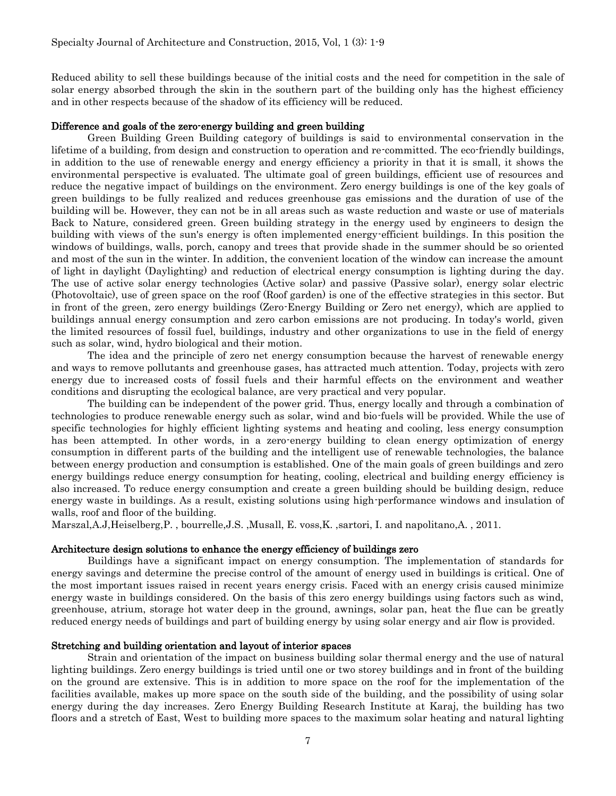Reduced ability to sell these buildings because of the initial costs and the need for competition in the sale of solar energy absorbed through the skin in the southern part of the building only has the highest efficiency and in other respects because of the shadow of its efficiency will be reduced.

## Difference and goals of the zero-energy building and green building

Green Building Green Building category of buildings is said to environmental conservation in the lifetime of a building, from design and construction to operation and re-committed. The eco-friendly buildings, in addition to the use of renewable energy and energy efficiency a priority in that it is small, it shows the environmental perspective is evaluated. The ultimate goal of green buildings, efficient use of resources and reduce the negative impact of buildings on the environment. Zero energy buildings is one of the key goals of green buildings to be fully realized and reduces greenhouse gas emissions and the duration of use of the building will be. However, they can not be in all areas such as waste reduction and waste or use of materials Back to Nature, considered green. Green building strategy in the energy used by engineers to design the building with views of the sun's energy is often implemented energy-efficient buildings. In this position the windows of buildings, walls, porch, canopy and trees that provide shade in the summer should be so oriented and most of the sun in the winter. In addition, the convenient location of the window can increase the amount of light in daylight (Daylighting) and reduction of electrical energy consumption is lighting during the day. The use of active solar energy technologies (Active solar) and passive (Passive solar), energy solar electric (Photovoltaic), use of green space on the roof (Roof garden) is one of the effective strategies in this sector. But in front of the green, zero energy buildings (Zero-Energy Building or Zero net energy), which are applied to buildings annual energy consumption and zero carbon emissions are not producing. In today's world, given the limited resources of fossil fuel, buildings, industry and other organizations to use in the field of energy such as solar, wind, hydro biological and their motion.

The idea and the principle of zero net energy consumption because the harvest of renewable energy and ways to remove pollutants and greenhouse gases, has attracted much attention. Today, projects with zero energy due to increased costs of fossil fuels and their harmful effects on the environment and weather conditions and disrupting the ecological balance, are very practical and very popular.

The building can be independent of the power grid. Thus, energy locally and through a combination of technologies to produce renewable energy such as solar, wind and bio-fuels will be provided. While the use of specific technologies for highly efficient lighting systems and heating and cooling, less energy consumption has been attempted. In other words, in a zero-energy building to clean energy optimization of energy consumption in different parts of the building and the intelligent use of renewable technologies, the balance between energy production and consumption is established. One of the main goals of green buildings and zero energy buildings reduce energy consumption for heating, cooling, electrical and building energy efficiency is also increased. To reduce energy consumption and create a green building should be building design, reduce energy waste in buildings. As a result, existing solutions using high-performance windows and insulation of walls, roof and floor of the building.

Marszal,A.J,Heiselberg,P. , bourrelle,J.S. ,Musall, E. voss,K. ,sartori, I. and napolitano,A. , 2011.

#### Architecture design solutions to enhance the energy efficiency of buildings zero

Buildings have a significant impact on energy consumption. The implementation of standards for energy savings and determine the precise control of the amount of energy used in buildings is critical. One of the most important issues raised in recent years energy crisis. Faced with an energy crisis caused minimize energy waste in buildings considered. On the basis of this zero energy buildings using factors such as wind, greenhouse, atrium, storage hot water deep in the ground, awnings, solar pan, heat the flue can be greatly reduced energy needs of buildings and part of building energy by using solar energy and air flow is provided.

## Stretching and building orientation and layout of interior spaces

Strain and orientation of the impact on business building solar thermal energy and the use of natural lighting buildings. Zero energy buildings is tried until one or two storey buildings and in front of the building on the ground are extensive. This is in addition to more space on the roof for the implementation of the facilities available, makes up more space on the south side of the building, and the possibility of using solar energy during the day increases. Zero Energy Building Research Institute at Karaj, the building has two floors and a stretch of East, West to building more spaces to the maximum solar heating and natural lighting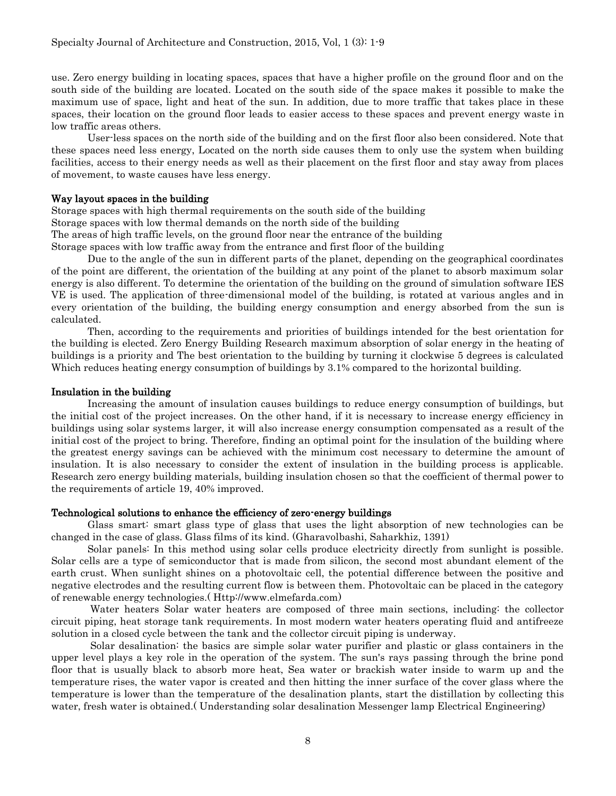use. Zero energy building in locating spaces, spaces that have a higher profile on the ground floor and on the south side of the building are located. Located on the south side of the space makes it possible to make the maximum use of space, light and heat of the sun. In addition, due to more traffic that takes place in these spaces, their location on the ground floor leads to easier access to these spaces and prevent energy waste in low traffic areas others.

User-less spaces on the north side of the building and on the first floor also been considered. Note that these spaces need less energy, Located on the north side causes them to only use the system when building facilities, access to their energy needs as well as their placement on the first floor and stay away from places of movement, to waste causes have less energy.

#### Way layout spaces in the building

Storage spaces with high thermal requirements on the south side of the building Storage spaces with low thermal demands on the north side of the building The areas of high traffic levels, on the ground floor near the entrance of the building Storage spaces with low traffic away from the entrance and first floor of the building

Due to the angle of the sun in different parts of the planet, depending on the geographical coordinates of the point are different, the orientation of the building at any point of the planet to absorb maximum solar energy is also different. To determine the orientation of the building on the ground of simulation software IES VE is used. The application of three-dimensional model of the building, is rotated at various angles and in every orientation of the building, the building energy consumption and energy absorbed from the sun is calculated.

Then, according to the requirements and priorities of buildings intended for the best orientation for the building is elected. Zero Energy Building Research maximum absorption of solar energy in the heating of buildings is a priority and The best orientation to the building by turning it clockwise 5 degrees is calculated Which reduces heating energy consumption of buildings by 3.1% compared to the horizontal building.

#### Insulation in the building

Increasing the amount of insulation causes buildings to reduce energy consumption of buildings, but the initial cost of the project increases. On the other hand, if it is necessary to increase energy efficiency in buildings using solar systems larger, it will also increase energy consumption compensated as a result of the initial cost of the project to bring. Therefore, finding an optimal point for the insulation of the building where the greatest energy savings can be achieved with the minimum cost necessary to determine the amount of insulation. It is also necessary to consider the extent of insulation in the building process is applicable. Research zero energy building materials, building insulation chosen so that the coefficient of thermal power to the requirements of article 19, 40% improved.

## Technological solutions to enhance the efficiency of zero-energy buildings

Glass smart: smart glass type of glass that uses the light absorption of new technologies can be changed in the case of glass. Glass films of its kind. (Gharavolbashi, Saharkhiz, 1391)

Solar panels: In this method using solar cells produce electricity directly from sunlight is possible. Solar cells are a type of semiconductor that is made from silicon, the second most abundant element of the earth crust. When sunlight shines on a photovoltaic cell, the potential difference between the positive and negative electrodes and the resulting current flow is between them. Photovoltaic can be placed in the category of renewable energy technologies.( Http://www.elmefarda.com)

Water heaters Solar water heaters are composed of three main sections, including: the collector circuit piping, heat storage tank requirements. In most modern water heaters operating fluid and antifreeze solution in a closed cycle between the tank and the collector circuit piping is underway.

Solar desalination: the basics are simple solar water purifier and plastic or glass containers in the upper level plays a key role in the operation of the system. The sun's rays passing through the brine pond floor that is usually black to absorb more heat, Sea water or brackish water inside to warm up and the temperature rises, the water vapor is created and then hitting the inner surface of the cover glass where the temperature is lower than the temperature of the desalination plants, start the distillation by collecting this water, fresh water is obtained.( Understanding solar desalination Messenger lamp Electrical Engineering)